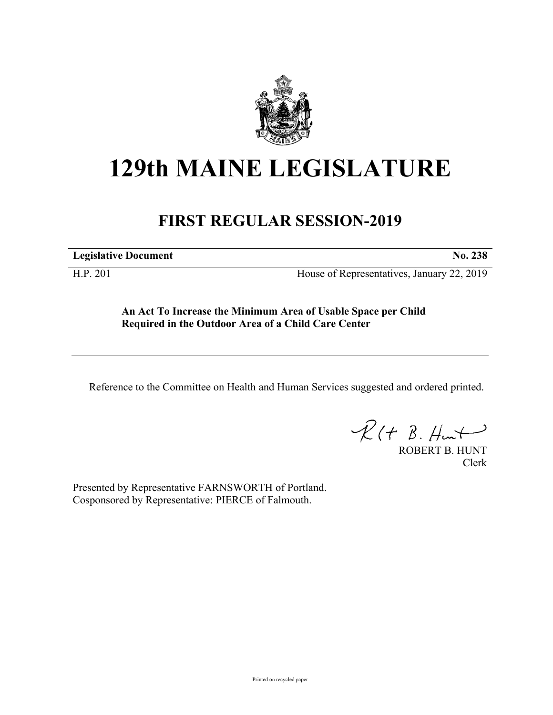

## **129th MAINE LEGISLATURE**

## **FIRST REGULAR SESSION-2019**

**Legislative Document No. 238**

H.P. 201 House of Representatives, January 22, 2019

**An Act To Increase the Minimum Area of Usable Space per Child Required in the Outdoor Area of a Child Care Center**

Reference to the Committee on Health and Human Services suggested and ordered printed.

 $R(t B. Hmt)$ 

ROBERT B. HUNT Clerk

Presented by Representative FARNSWORTH of Portland. Cosponsored by Representative: PIERCE of Falmouth.